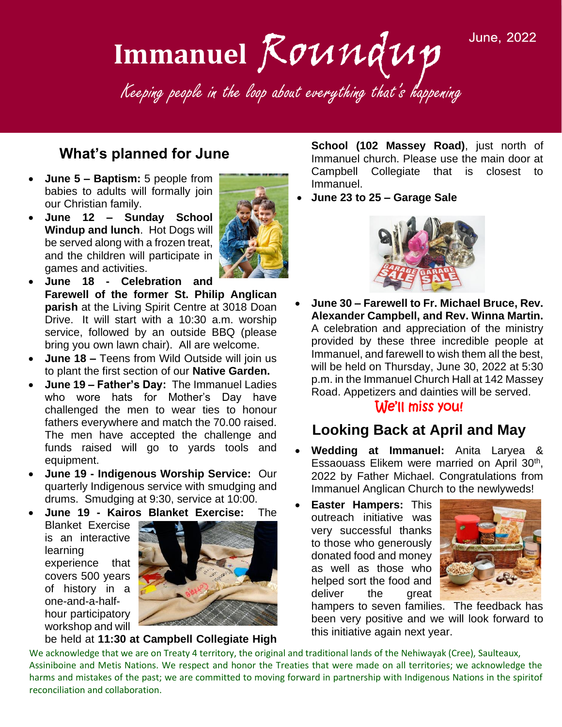**June, 2022** 



#### **What's planned for June**

- **June 5 – Baptism:** 5 people from babies to adults will formally join our Christian family.
- **June 12 – Sunday School Windup and lunch**. Hot Dogs will be served along with a frozen treat, and the children will participate in games and activities.



- **June 18 - Celebration and Farewell of the former St. Philip Anglican parish** at the Living Spirit Centre at 3018 Doan Drive. It will start with a 10:30 a.m. worship service, followed by an outside BBQ (please bring you own lawn chair). All are welcome.
- **June 18 –** Teens from Wild Outside will join us to plant the first section of our **Native Garden.**
- **June 19 – Father's Day:** The Immanuel Ladies who wore hats for Mother's Day have challenged the men to wear ties to honour fathers everywhere and match the 70.00 raised. The men have accepted the challenge and funds raised will go to yards tools and equipment.
- **June 19 - Indigenous Worship Service:** Our quarterly Indigenous service with smudging and drums. Smudging at 9:30, service at 10:00.
- **June 19 - Kairos Blanket Exercise:** The

Blanket Exercise is an interactive learning experience that covers 500 years of history in a one-and-a-halfhour participatory workshop and will



#### be held at **11:30 at Campbell Collegiate High**

**School (102 Massey Road)**, just north of Immanuel church. Please use the main door at Campbell Collegiate that is closest to Immanuel.

• **June 23 to 25 – Garage Sale** 



• **June 30 – Farewell to Fr. Michael Bruce, Rev. Alexander Campbell, and Rev. Winna Martin.**  A celebration and appreciation of the ministry provided by these three incredible people at Immanuel, and farewell to wish them all the best, will be held on Thursday, June 30, 2022 at 5:30 p.m. in the Immanuel Church Hall at 142 Massey Road. Appetizers and dainties will be served.

#### We'll miss you!

#### **Looking Back at April and May**

- **Wedding at Immanuel:** Anita Laryea & Essaouass Elikem were married on April 30<sup>th</sup>, 2022 by Father Michael. Congratulations from Immanuel Anglican Church to the newlyweds!
- **Easter Hampers:** This outreach initiative was very successful thanks to those who generously donated food and money as well as those who helped sort the food and deliver the great



hampers to seven families. The feedback has been very positive and we will look forward to this initiative again next year.

We acknowledge that we are on Treaty 4 territory, the original and traditional lands of the Nehiwayak (Cree), Saulteaux, Assiniboine and Metis Nations. We respect and honor the Treaties that were made on all territories; we acknowledge the harms and mistakes of the past; we are committed to moving forward in partnership with Indigenous Nations in the spiritof reconciliation and collaboration.